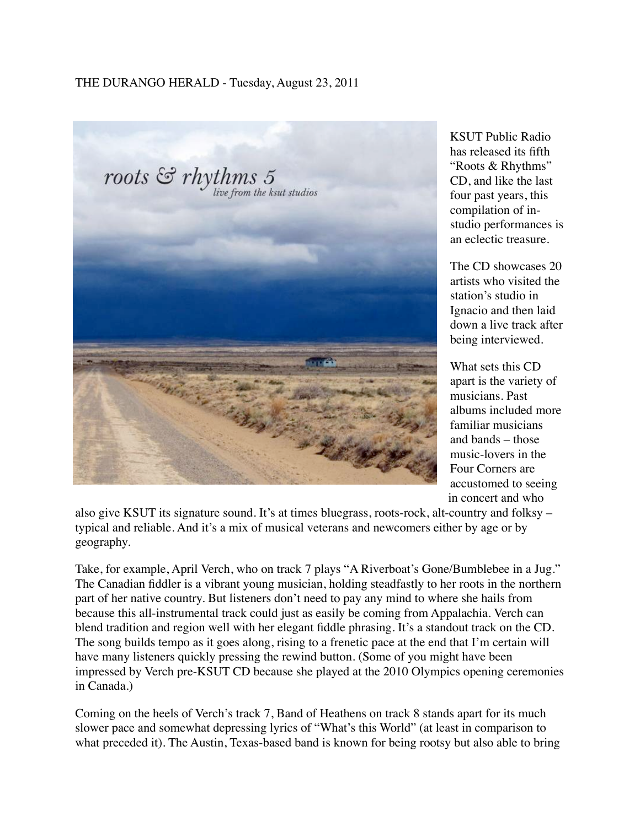## THE DURANGO HERALD - Tuesday, August 23, 2011



KSUT Public Radio has released its fifth "Roots & Rhythms" CD, and like the last four past years, this compilation of instudio performances is an eclectic treasure.

The CD showcases 20 artists who visited the station's studio in Ignacio and then laid down a live track after being interviewed.

What sets this CD apart is the variety of musicians. Past albums included more familiar musicians and bands – those music-lovers in the Four Corners are accustomed to seeing in concert and who

also give KSUT its signature sound. It's at times bluegrass, roots-rock, alt-country and folksy – typical and reliable. And it's a mix of musical veterans and newcomers either by age or by geography.

Take, for example, April Verch, who on track 7 plays "A Riverboat's Gone/Bumblebee in a Jug." The Canadian fiddler is a vibrant young musician, holding steadfastly to her roots in the northern part of her native country. But listeners don't need to pay any mind to where she hails from because this all-instrumental track could just as easily be coming from Appalachia. Verch can blend tradition and region well with her elegant fiddle phrasing. It's a standout track on the CD. The song builds tempo as it goes along, rising to a frenetic pace at the end that I'm certain will have many listeners quickly pressing the rewind button. (Some of you might have been impressed by Verch pre-KSUT CD because she played at the 2010 Olympics opening ceremonies in Canada.)

Coming on the heels of Verch's track 7, Band of Heathens on track 8 stands apart for its much slower pace and somewhat depressing lyrics of "What's this World" (at least in comparison to what preceded it). The Austin, Texas-based band is known for being rootsy but also able to bring